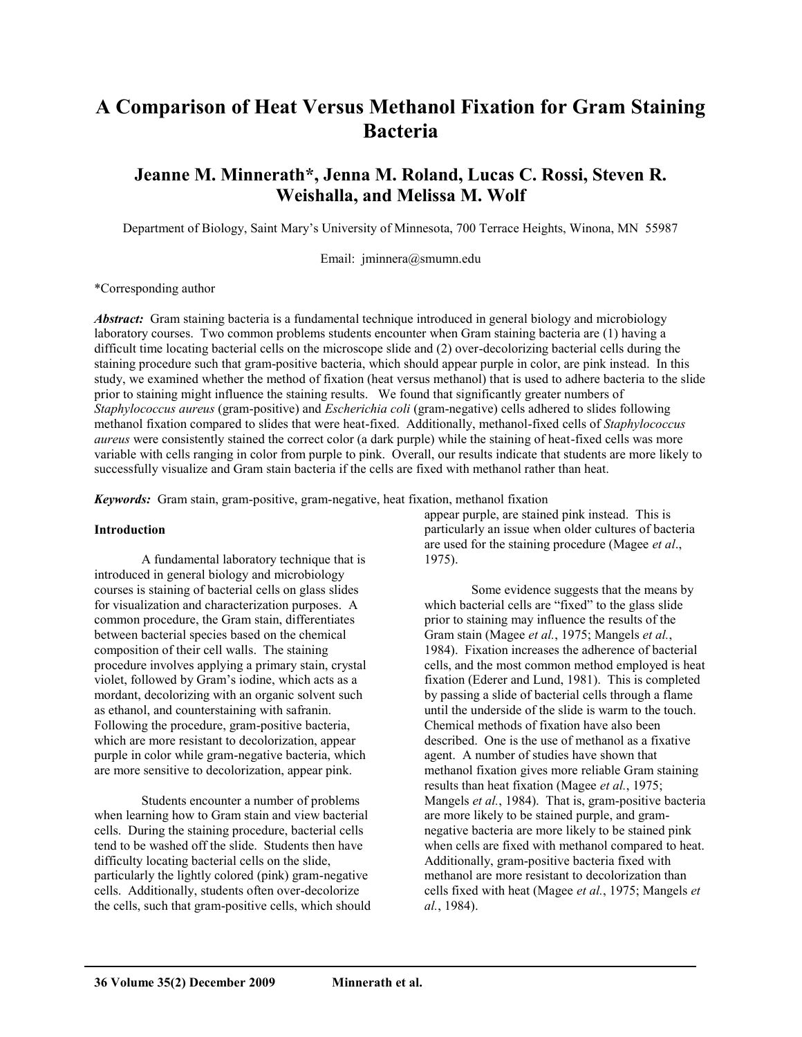# **A Comparison of Heat Versus Methanol Fixation for Gram Staining Bacteria**

# **Jeanne M. Minnerath\*, Jenna M. Roland, Lucas C. Rossi, Steven R. Weishalla, and Melissa M. Wolf**

Department of Biology, Saint Mary's University of Minnesota, 700 Terrace Heights, Winona, MN 55987

Email: [jminnera@smumn.edu](mailto:jminnera@smumn.edu)

\*Corresponding author

*Abstract:* Gram staining bacteria is a fundamental technique introduced in general biology and microbiology laboratory courses. Two common problems students encounter when Gram staining bacteria are (1) having a difficult time locating bacterial cells on the microscope slide and (2) over-decolorizing bacterial cells during the staining procedure such that gram-positive bacteria, which should appear purple in color, are pink instead. In this study, we examined whether the method of fixation (heat versus methanol) that is used to adhere bacteria to the slide prior to staining might influence the staining results. We found that significantly greater numbers of *Staphylococcus aureus* (gram-positive) and *Escherichia coli* (gram-negative) cells adhered to slides following methanol fixation compared to slides that were heat-fixed. Additionally, methanol-fixed cells of *Staphylococcus aureus* were consistently stained the correct color (a dark purple) while the staining of heat-fixed cells was more variable with cells ranging in color from purple to pink. Overall, our results indicate that students are more likely to successfully visualize and Gram stain bacteria if the cells are fixed with methanol rather than heat.

*Keywords:* Gram stain, gram-positive, gram-negative, heat fixation, methanol fixation

#### **Introduction**

A fundamental laboratory technique that is introduced in general biology and microbiology courses is staining of bacterial cells on glass slides for visualization and characterization purposes. A common procedure, the Gram stain, differentiates between bacterial species based on the chemical composition of their cell walls. The staining procedure involves applying a primary stain, crystal violet, followed by Gram's iodine, which acts as a mordant, decolorizing with an organic solvent such as ethanol, and counterstaining with safranin. Following the procedure, gram-positive bacteria, which are more resistant to decolorization, appear purple in color while gram-negative bacteria, which are more sensitive to decolorization, appear pink.

Students encounter a number of problems when learning how to Gram stain and view bacterial cells. During the staining procedure, bacterial cells tend to be washed off the slide. Students then have difficulty locating bacterial cells on the slide, particularly the lightly colored (pink) gram-negative cells. Additionally, students often over-decolorize the cells, such that gram-positive cells, which should appear purple, are stained pink instead. This is particularly an issue when older cultures of bacteria are used for the staining procedure (Magee *et al*., 1975).

Some evidence suggests that the means by which bacterial cells are "fixed" to the glass slide prior to staining may influence the results of the Gram stain (Magee *et al.*, 1975; Mangels *et al.*, 1984). Fixation increases the adherence of bacterial cells, and the most common method employed is heat fixation (Ederer and Lund, 1981). This is completed by passing a slide of bacterial cells through a flame until the underside of the slide is warm to the touch. Chemical methods of fixation have also been described. One is the use of methanol as a fixative agent. A number of studies have shown that methanol fixation gives more reliable Gram staining results than heat fixation (Magee *et al.*, 1975; Mangels *et al.*, 1984). That is, gram-positive bacteria are more likely to be stained purple, and gramnegative bacteria are more likely to be stained pink when cells are fixed with methanol compared to heat. Additionally, gram-positive bacteria fixed with methanol are more resistant to decolorization than cells fixed with heat (Magee *et al.*, 1975; Mangels *et al.*, 1984).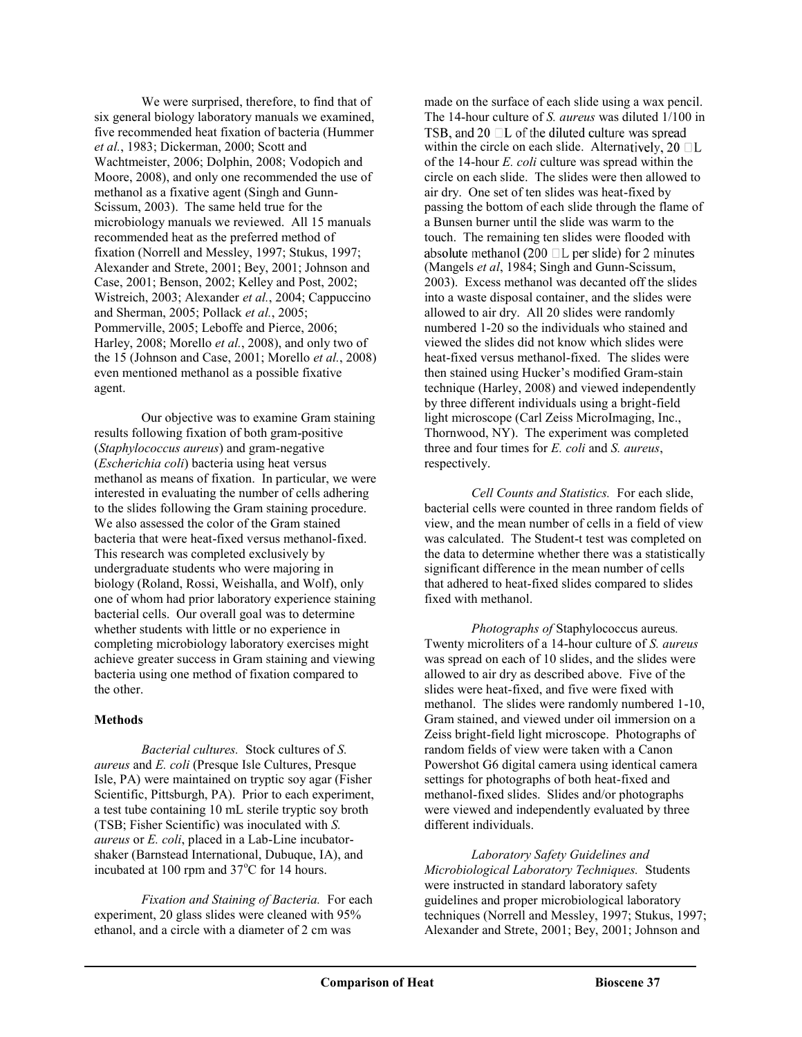We were surprised, therefore, to find that of six general biology laboratory manuals we examined, five recommended heat fixation of bacteria (Hummer *et al.*, 1983; Dickerman, 2000; Scott and Wachtmeister, 2006; Dolphin, 2008; Vodopich and Moore, 2008), and only one recommended the use of methanol as a fixative agent (Singh and Gunn-Scissum, 2003). The same held true for the microbiology manuals we reviewed. All 15 manuals recommended heat as the preferred method of fixation (Norrell and Messley, 1997; Stukus, 1997; Alexander and Strete, 2001; Bey, 2001; Johnson and Case, 2001; Benson, 2002; Kelley and Post, 2002; Wistreich, 2003; Alexander *et al.*, 2004; Cappuccino and Sherman, 2005; Pollack *et al.*, 2005; Pommerville, 2005; Leboffe and Pierce, 2006; Harley, 2008; Morello *et al.*, 2008), and only two of the 15 (Johnson and Case, 2001; Morello *et al.*, 2008) even mentioned methanol as a possible fixative agent.

Our objective was to examine Gram staining results following fixation of both gram-positive (*Staphylococcus aureus*) and gram-negative (*Escherichia coli*) bacteria using heat versus methanol as means of fixation. In particular, we were interested in evaluating the number of cells adhering to the slides following the Gram staining procedure. We also assessed the color of the Gram stained bacteria that were heat-fixed versus methanol-fixed. This research was completed exclusively by undergraduate students who were majoring in biology (Roland, Rossi, Weishalla, and Wolf), only one of whom had prior laboratory experience staining bacterial cells. Our overall goal was to determine whether students with little or no experience in completing microbiology laboratory exercises might achieve greater success in Gram staining and viewing bacteria using one method of fixation compared to the other.

### **Methods**

*Bacterial cultures.*Stock cultures of *S. aureus* and *E. coli* (Presque Isle Cultures, Presque Isle, PA) were maintained on tryptic soy agar (Fisher Scientific, Pittsburgh, PA). Prior to each experiment, a test tube containing 10 mL sterile tryptic soy broth (TSB; Fisher Scientific) was inoculated with *S. aureus* or *E. coli*, placed in a Lab-Line incubatorshaker (Barnstead International, Dubuque, IA), and incubated at 100 rpm and 37°C for 14 hours.

*Fixation and Staining of Bacteria.* For each experiment, 20 glass slides were cleaned with 95% ethanol, and a circle with a diameter of 2 cm was

made on the surface of each slide using a wax pencil. The 14-hour culture of *S. aureus* was diluted 1/100 in TSB, and 20  $\Box$  L of the diluted culture was spread within the circle on each slide. Alternatively,  $20 \Box L$ of the 14-hour *E. coli* culture was spread within the circle on each slide. The slides were then allowed to air dry. One set of ten slides was heat-fixed by passing the bottom of each slide through the flame of a Bunsen burner until the slide was warm to the touch. The remaining ten slides were flooded with absolute methanol (200  $\Box$ L per slide) for 2 minutes (Mangels *et al*, 1984; Singh and Gunn-Scissum, 2003). Excess methanol was decanted off the slides into a waste disposal container, and the slides were allowed to air dry. All 20 slides were randomly numbered 1-20 so the individuals who stained and viewed the slides did not know which slides were heat-fixed versus methanol-fixed. The slides were then stained using Hucker's modified Gram-stain technique (Harley, 2008) and viewed independently by three different individuals using a bright-field light microscope (Carl Zeiss MicroImaging, Inc., Thornwood, NY). The experiment was completed three and four times for *E. coli* and *S. aureus*, respectively.

*Cell Counts and Statistics.* For each slide, bacterial cells were counted in three random fields of view, and the mean number of cells in a field of view was calculated. The Student-t test was completed on the data to determine whether there was a statistically significant difference in the mean number of cells that adhered to heat-fixed slides compared to slides fixed with methanol.

*Photographs of* Staphylococcus aureus*.*  Twenty microliters of a 14-hour culture of *S. aureus* was spread on each of 10 slides, and the slides were allowed to air dry as described above. Five of the slides were heat-fixed, and five were fixed with methanol. The slides were randomly numbered 1-10, Gram stained, and viewed under oil immersion on a Zeiss bright-field light microscope. Photographs of random fields of view were taken with a Canon Powershot G6 digital camera using identical camera settings for photographs of both heat-fixed and methanol-fixed slides. Slides and/or photographs were viewed and independently evaluated by three different individuals.

*Laboratory Safety Guidelines and Microbiological Laboratory Techniques.*Students were instructed in standard laboratory safety guidelines and proper microbiological laboratory techniques (Norrell and Messley, 1997; Stukus, 1997; Alexander and Strete, 2001; Bey, 2001; Johnson and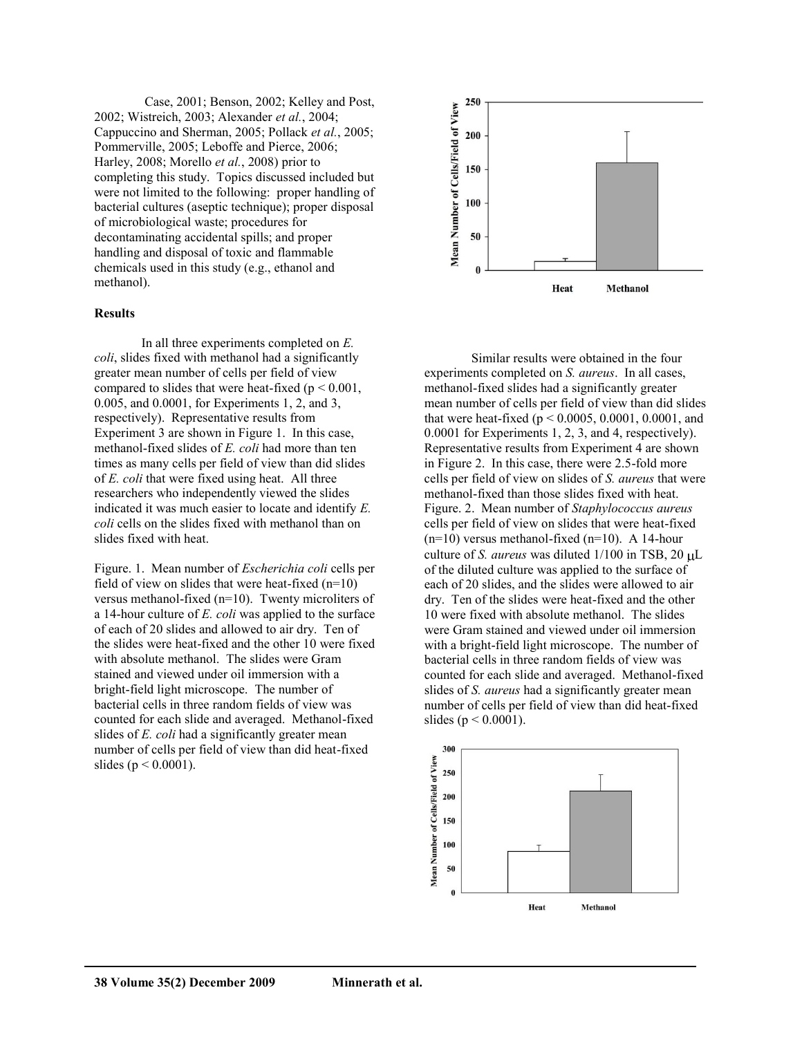Case, 2001; Benson, 2002; Kelley and Post, 2002; Wistreich, 2003; Alexander *et al.*, 2004; Cappuccino and Sherman, 2005; Pollack *et al.*, 2005; Pommerville, 2005; Leboffe and Pierce, 2006; Harley, 2008; Morello *et al.*, 2008) prior to completing this study. Topics discussed included but were not limited to the following: proper handling of bacterial cultures (aseptic technique); proper disposal of microbiological waste; procedures for decontaminating accidental spills; and proper handling and disposal of toxic and flammable chemicals used in this study (e.g., ethanol and methanol).

#### **Results**

In all three experiments completed on *E. coli*, slides fixed with methanol had a significantly greater mean number of cells per field of view compared to slides that were heat-fixed ( $p \le 0.001$ , 0.005, and 0.0001, for Experiments 1, 2, and 3, respectively). Representative results from Experiment 3 are shown in Figure 1. In this case, methanol-fixed slides of *E. coli* had more than ten times as many cells per field of view than did slides of *E. coli* that were fixed using heat. All three researchers who independently viewed the slides indicated it was much easier to locate and identify *E. coli* cells on the slides fixed with methanol than on slides fixed with heat.

Figure. 1. Mean number of *Escherichia coli* cells per field of view on slides that were heat-fixed  $(n=10)$ versus methanol-fixed (n=10). Twenty microliters of a 14-hour culture of *E. coli* was applied to the surface of each of 20 slides and allowed to air dry. Ten of the slides were heat-fixed and the other 10 were fixed with absolute methanol. The slides were Gram stained and viewed under oil immersion with a bright-field light microscope. The number of bacterial cells in three random fields of view was counted for each slide and averaged. Methanol-fixed slides of *E. coli* had a significantly greater mean number of cells per field of view than did heat-fixed slides ( $p < 0.0001$ ).



Similar results were obtained in the four experiments completed on *S. aureus*. In all cases, methanol-fixed slides had a significantly greater mean number of cells per field of view than did slides that were heat-fixed ( $p < 0.0005$ , 0.0001, 0.0001, and 0.0001 for Experiments 1, 2, 3, and 4, respectively). Representative results from Experiment 4 are shown in Figure 2. In this case, there were 2.5-fold more cells per field of view on slides of *S. aureus* that were methanol-fixed than those slides fixed with heat. Figure. 2. Mean number of *Staphylococcus aureus* cells per field of view on slides that were heat-fixed  $(n=10)$  versus methanol-fixed  $(n=10)$ . A 14-hour culture of *S. aureus* was diluted  $1/100$  in TSB,  $20 \mu L$ of the diluted culture was applied to the surface of each of 20 slides, and the slides were allowed to air dry. Ten of the slides were heat-fixed and the other 10 were fixed with absolute methanol. The slides were Gram stained and viewed under oil immersion with a bright-field light microscope. The number of bacterial cells in three random fields of view was counted for each slide and averaged. Methanol-fixed slides of *S. aureus* had a significantly greater mean number of cells per field of view than did heat-fixed slides ( $p < 0.0001$ ).

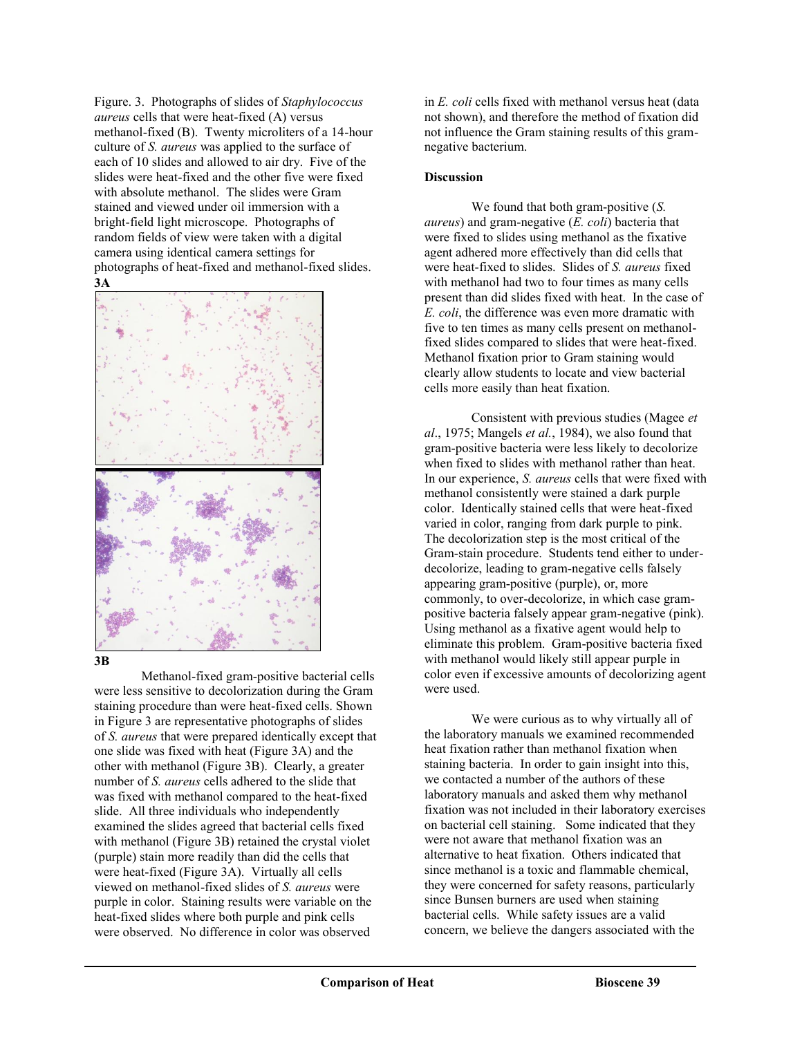Figure. 3. Photographs of slides of *Staphylococcus aureus* cells that were heat-fixed (A) versus methanol-fixed (B). Twenty microliters of a 14-hour culture of *S. aureus* was applied to the surface of each of 10 slides and allowed to air dry. Five of the slides were heat-fixed and the other five were fixed with absolute methanol. The slides were Gram stained and viewed under oil immersion with a bright-field light microscope. Photographs of random fields of view were taken with a digital camera using identical camera settings for photographs of heat-fixed and methanol-fixed slides. **3A**



#### **3B**

Methanol-fixed gram-positive bacterial cells were less sensitive to decolorization during the Gram staining procedure than were heat-fixed cells. Shown in Figure 3 are representative photographs of slides of *S. aureus* that were prepared identically except that one slide was fixed with heat (Figure 3A) and the other with methanol (Figure 3B). Clearly, a greater number of *S. aureus* cells adhered to the slide that was fixed with methanol compared to the heat-fixed slide. All three individuals who independently examined the slides agreed that bacterial cells fixed with methanol (Figure 3B) retained the crystal violet (purple) stain more readily than did the cells that were heat-fixed (Figure 3A). Virtually all cells viewed on methanol-fixed slides of *S. aureus* were purple in color. Staining results were variable on the heat-fixed slides where both purple and pink cells were observed. No difference in color was observed

in *E. coli* cells fixed with methanol versus heat (data not shown), and therefore the method of fixation did not influence the Gram staining results of this gramnegative bacterium.

## **Discussion**

We found that both gram-positive (*S. aureus*) and gram-negative (*E. coli*) bacteria that were fixed to slides using methanol as the fixative agent adhered more effectively than did cells that were heat-fixed to slides. Slides of *S. aureus* fixed with methanol had two to four times as many cells present than did slides fixed with heat. In the case of *E. coli*, the difference was even more dramatic with five to ten times as many cells present on methanolfixed slides compared to slides that were heat-fixed. Methanol fixation prior to Gram staining would clearly allow students to locate and view bacterial cells more easily than heat fixation.

Consistent with previous studies (Magee *et al*., 1975; Mangels *et al.*, 1984), we also found that gram-positive bacteria were less likely to decolorize when fixed to slides with methanol rather than heat. In our experience, *S. aureus* cells that were fixed with methanol consistently were stained a dark purple color. Identically stained cells that were heat-fixed varied in color, ranging from dark purple to pink. The decolorization step is the most critical of the Gram-stain procedure. Students tend either to underdecolorize, leading to gram-negative cells falsely appearing gram-positive (purple), or, more commonly, to over-decolorize, in which case grampositive bacteria falsely appear gram-negative (pink). Using methanol as a fixative agent would help to eliminate this problem. Gram-positive bacteria fixed with methanol would likely still appear purple in color even if excessive amounts of decolorizing agent were used.

We were curious as to why virtually all of the laboratory manuals we examined recommended heat fixation rather than methanol fixation when staining bacteria. In order to gain insight into this, we contacted a number of the authors of these laboratory manuals and asked them why methanol fixation was not included in their laboratory exercises on bacterial cell staining. Some indicated that they were not aware that methanol fixation was an alternative to heat fixation. Others indicated that since methanol is a toxic and flammable chemical, they were concerned for safety reasons, particularly since Bunsen burners are used when staining bacterial cells. While safety issues are a valid concern, we believe the dangers associated with the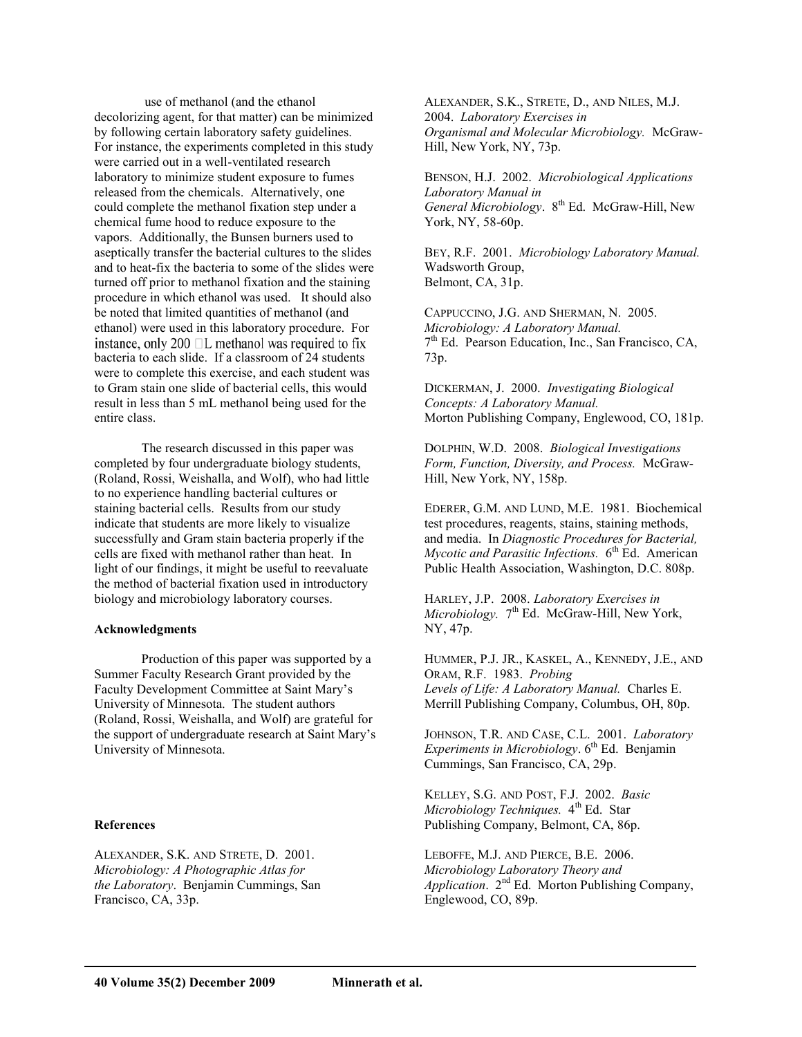use of methanol (and the ethanol decolorizing agent, for that matter) can be minimized by following certain laboratory safety guidelines. For instance, the experiments completed in this study were carried out in a well-ventilated research laboratory to minimize student exposure to fumes released from the chemicals. Alternatively, one could complete the methanol fixation step under a chemical fume hood to reduce exposure to the vapors. Additionally, the Bunsen burners used to aseptically transfer the bacterial cultures to the slides and to heat-fix the bacteria to some of the slides were turned off prior to methanol fixation and the staining procedure in which ethanol was used. It should also be noted that limited quantities of methanol (and ethanol) were used in this laboratory procedure. For instance, only 200  $\Box$ L methanol was required to fix bacteria to each slide. If a classroom of 24 students were to complete this exercise, and each student was to Gram stain one slide of bacterial cells, this would result in less than 5 mL methanol being used for the entire class.

The research discussed in this paper was completed by four undergraduate biology students, (Roland, Rossi, Weishalla, and Wolf), who had little to no experience handling bacterial cultures or staining bacterial cells. Results from our study indicate that students are more likely to visualize successfully and Gram stain bacteria properly if the cells are fixed with methanol rather than heat. In light of our findings, it might be useful to reevaluate the method of bacterial fixation used in introductory biology and microbiology laboratory courses.

#### **Acknowledgments**

Production of this paper was supported by a Summer Faculty Research Grant provided by the Faculty Development Committee at Saint Mary's University of Minnesota. The student authors (Roland, Rossi, Weishalla, and Wolf) are grateful for the support of undergraduate research at Saint Mary's University of Minnesota.

#### **References**

ALEXANDER, S.K. AND STRETE, D. 2001. *Microbiology: A Photographic Atlas for the Laboratory*. Benjamin Cummings, San Francisco, CA, 33p.

ALEXANDER, S.K., STRETE, D., AND NILES, M.J. 2004. *Laboratory Exercises in Organismal and Molecular Microbiology.* McGraw-Hill, New York, NY, 73p.

BENSON, H.J. 2002. *Microbiological Applications Laboratory Manual in General Microbiology*. 8th Ed. McGraw-Hill, New York, NY, 58-60p.

BEY, R.F. 2001. *Microbiology Laboratory Manual.* Wadsworth Group, Belmont, CA, 31p.

CAPPUCCINO, J.G. AND SHERMAN, N. 2005. *Microbiology: A Laboratory Manual.*  $7<sup>th</sup>$  Ed. Pearson Education, Inc., San Francisco, CA, 73p.

DICKERMAN, J. 2000. *Investigating Biological Concepts: A Laboratory Manual.* Morton Publishing Company, Englewood, CO, 181p.

DOLPHIN, W.D. 2008. *Biological Investigations Form, Function, Diversity, and Process.* McGraw-Hill, New York, NY, 158p.

EDERER, G.M. AND LUND, M.E. 1981. Biochemical test procedures, reagents, stains, staining methods, and media. In *Diagnostic Procedures for Bacterial, Mycotic and Parasitic Infections.* 6<sup>th</sup> Ed. American Public Health Association, Washington, D.C. 808p.

HARLEY, J.P. 2008. *Laboratory Exercises in Microbiology.* 7<sup>th</sup> Ed. McGraw-Hill, New York, NY, 47p.

HUMMER, P.J. JR., KASKEL, A., KENNEDY, J.E., AND ORAM, R.F. 1983. *Probing Levels of Life: A Laboratory Manual.* Charles E. Merrill Publishing Company, Columbus, OH, 80p.

JOHNSON, T.R. AND CASE, C.L. 2001. *Laboratory Experiments in Microbiology*. 6<sup>th</sup> Ed. Benjamin Cummings, San Francisco, CA, 29p.

KELLEY, S.G. AND POST, F.J. 2002. *Basic Microbiology Techniques.* 4<sup>th</sup> Ed. Star Publishing Company, Belmont, CA, 86p.

LEBOFFE, M.J. AND PIERCE, B.E. 2006. *Microbiology Laboratory Theory and Application*. 2nd Ed. Morton Publishing Company, Englewood, CO, 89p.